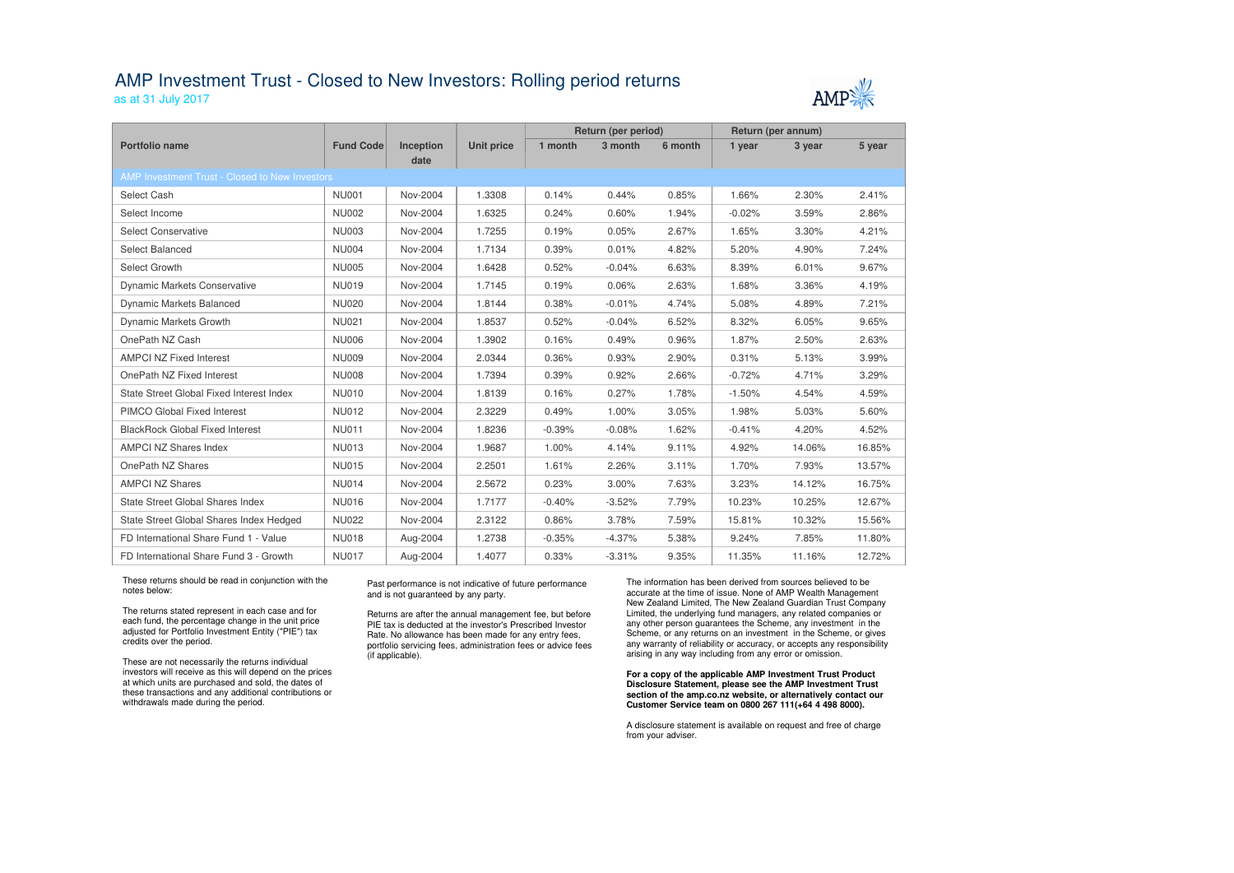## AMP Investment Trust - Closed to New Investors: Rolling period returns

as at 31 July 2017



|                                                               |                  |                  |                   | Return (per period) |          |         | Return (per annum) |        |        |  |  |  |
|---------------------------------------------------------------|------------------|------------------|-------------------|---------------------|----------|---------|--------------------|--------|--------|--|--|--|
| <b>Portfolio name</b>                                         | <b>Fund Code</b> | <b>Inception</b> | <b>Unit price</b> | 1 month             | 3 month  | 6 month | 1 year             | 3 year | 5 year |  |  |  |
| date<br><b>AMP Investment Trust - Closed to New Investors</b> |                  |                  |                   |                     |          |         |                    |        |        |  |  |  |
| Select Cash                                                   | <b>NU001</b>     | Nov-2004         | 1.3308            | 0.14%               | 0.44%    | 0.85%   | 1.66%              | 2.30%  | 2.41%  |  |  |  |
|                                                               |                  |                  |                   |                     |          |         |                    |        |        |  |  |  |
| Select Income                                                 | <b>NU002</b>     | Nov-2004         | 1.6325            | 0.24%               | 0.60%    | 1.94%   | $-0.02%$           | 3.59%  | 2.86%  |  |  |  |
| <b>Select Conservative</b>                                    | <b>NU003</b>     | Nov-2004         | 1.7255            | 0.19%               | 0.05%    | 2.67%   | 1.65%              | 3.30%  | 4.21%  |  |  |  |
| <b>Select Balanced</b>                                        | <b>NU004</b>     | Nov-2004         | 1.7134            | 0.39%               | 0.01%    | 4.82%   | 5.20%              | 4.90%  | 7.24%  |  |  |  |
| Select Growth                                                 | <b>NU005</b>     | Nov-2004         | 1.6428            | 0.52%               | $-0.04%$ | 6.63%   | 8.39%              | 6.01%  | 9.67%  |  |  |  |
| <b>Dynamic Markets Conservative</b>                           | <b>NU019</b>     | Nov-2004         | 1.7145            | 0.19%               | 0.06%    | 2.63%   | 1.68%              | 3.36%  | 4.19%  |  |  |  |
| Dynamic Markets Balanced                                      | <b>NU020</b>     | Nov-2004         | 1.8144            | 0.38%               | $-0.01%$ | 4.74%   | 5.08%              | 4.89%  | 7.21%  |  |  |  |
| <b>Dynamic Markets Growth</b>                                 | <b>NU021</b>     | Nov-2004         | 1.8537            | 0.52%               | $-0.04%$ | 6.52%   | 8.32%              | 6.05%  | 9.65%  |  |  |  |
| OnePath NZ Cash                                               | <b>NU006</b>     | Nov-2004         | 1.3902            | 0.16%               | 0.49%    | 0.96%   | 1.87%              | 2.50%  | 2.63%  |  |  |  |
| <b>AMPCI NZ Fixed Interest</b>                                | <b>NU009</b>     | Nov-2004         | 2.0344            | 0.36%               | 0.93%    | 2.90%   | 0.31%              | 5.13%  | 3.99%  |  |  |  |
| OnePath NZ Fixed Interest                                     | <b>NU008</b>     | Nov-2004         | 1.7394            | 0.39%               | 0.92%    | 2.66%   | $-0.72%$           | 4.71%  | 3.29%  |  |  |  |
| State Street Global Fixed Interest Index                      | <b>NU010</b>     | Nov-2004         | 1.8139            | 0.16%               | 0.27%    | 1.78%   | $-1.50%$           | 4.54%  | 4.59%  |  |  |  |
| PIMCO Global Fixed Interest                                   | <b>NU012</b>     | Nov-2004         | 2.3229            | 0.49%               | 1.00%    | 3.05%   | 1.98%              | 5.03%  | 5.60%  |  |  |  |
| <b>BlackRock Global Fixed Interest</b>                        | <b>NU011</b>     | Nov-2004         | 1.8236            | $-0.39%$            | $-0.08%$ | 1.62%   | $-0.41%$           | 4.20%  | 4.52%  |  |  |  |
| <b>AMPCI NZ Shares Index</b>                                  | <b>NU013</b>     | Nov-2004         | 1.9687            | 1.00%               | 4.14%    | 9.11%   | 4.92%              | 14.06% | 16.85% |  |  |  |
| OnePath NZ Shares                                             | <b>NU015</b>     | Nov-2004         | 2.2501            | 1.61%               | 2.26%    | 3.11%   | 1.70%              | 7.93%  | 13.57% |  |  |  |
| <b>AMPCI NZ Shares</b>                                        | <b>NU014</b>     | Nov-2004         | 2.5672            | 0.23%               | 3.00%    | 7.63%   | 3.23%              | 14.12% | 16.75% |  |  |  |
| <b>State Street Global Shares Index</b>                       | <b>NU016</b>     | Nov-2004         | 1.7177            | $-0.40%$            | $-3.52%$ | 7.79%   | 10.23%             | 10.25% | 12.67% |  |  |  |
| State Street Global Shares Index Hedged                       | <b>NU022</b>     | Nov-2004         | 2.3122            | 0.86%               | 3.78%    | 7.59%   | 15.81%             | 10.32% | 15.56% |  |  |  |
| FD International Share Fund 1 - Value                         | <b>NU018</b>     | Aug-2004         | 1.2738            | $-0.35%$            | $-4.37%$ | 5.38%   | 9.24%              | 7.85%  | 11.80% |  |  |  |
| FD International Share Fund 3 - Growth                        | <b>NU017</b>     | Aug-2004         | 1.4077            | 0.33%               | $-3.31%$ | 9.35%   | 11.35%             | 11.16% | 12.72% |  |  |  |

These returns should be read in conjunction with the notes below:

The returns stated represent in each case and for each fund, the percentage change in the unit price adjusted for Portfolio Investment Entity ("PIE") tax credits over the period.

These are not necessarily the returns individual investors will receive as this will depend on the prices at which units are purchased and sold, the dates of these transactions and any additional contributions or withdrawals made during the period.

### Past performance is not indicative of future performance and is not guaranteed by any party.

Returns are after the annual management fee, but before PIE tax is deducted at the investor's Prescribed Investor Rate. No allowance has been made for any entry fees, portfolio servicing fees, administration fees or advice fees (if applicable).

The information has been derived from sources believed to be accurate at the time of issue. None of AMP Wealth Management New Zealand Limited, The New Zealand Guardian Trust Company Limited, the underlying fund managers, any related companies or any other person guarantees the Scheme, any investment in the Scheme, or any returns on an investment in the Scheme, or gives any warranty of reliability or accuracy, or accepts any responsibility arising in any way including from any error or omission.

#### **For a copy of the applicable AMP Investment Trust Product Disclosure Statement, please see the AMP Investment Trust section of the amp.co.nz website, or alternatively contact our Customer Service team on 0800 267 111(+64 4 498 8000).**

A disclosure statement is available on request and free of charge from your adviser.